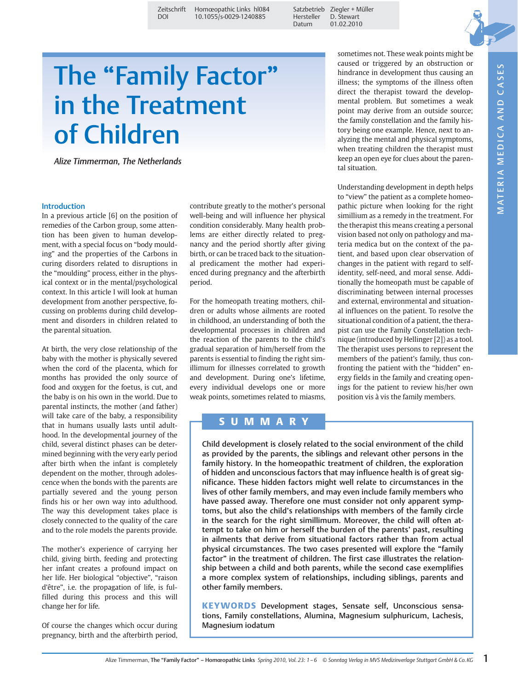Zeitschrift Homœopathic Links hl084 Satzbetrieb Ziegler + Müller  $10.1055$ /s-0029-1240885

Datum 01.02.2010

# The "Family Factor" in the Treatment of Children

Alize Timmerman, The Netherlands

#### Introduction

In a previous article [6] on the position of remedies of the Carbon group, some attention has been given to human development, with a special focus on "body moulding" and the properties of the Carbons in curing disorders related to disruptions in the "moulding" process, either in the physical context or in the mental/psychological context. In this article I will look at human development from another perspective, focussing on problems during child development and disorders in children related to the parental situation.

At birth, the very close relationship of the baby with the mother is physically severed when the cord of the placenta, which for months has provided the only source of food and oxygen for the foetus, is cut, and the baby is on his own in the world. Due to parental instincts, the mother (and father) will take care of the baby, a responsibility that in humans usually lasts until adulthood. In the developmental journey of the child, several distinct phases can be determined beginning with the very early period after birth when the infant is completely dependent on the mother, through adolescence when the bonds with the parents are partially severed and the young person finds his or her own way into adulthood. The way this development takes place is closely connected to the quality of the care and to the role models the parents provide.

The mother's experience of carrying her child, giving birth, feeding and protecting her infant creates a profound impact on her life. Her biological "objective", "raison d'être", i.e. the propagation of life, is fulfilled during this process and this will change her for life.

Of course the changes which occur during pregnancy, birth and the afterbirth period,

contribute greatly to the mother's personal well-being and will influence her physical condition considerably. Many health problems are either directly related to pregnancy and the period shortly after giving birth, or can be traced back to the situational predicament the mother had experienced during pregnancy and the afterbirth period.

For the homeopath treating mothers, children or adults whose ailments are rooted in childhood, an understanding of both the developmental processes in children and the reaction of the parents to the child's gradual separation of him/herself from the parents is essential to finding the right simillimum for illnesses correlated to growth and development. During one's lifetime, every individual develops one or more weak points, sometimes related to miasms,

## SUMMARY

sometimes not. These weak points might be caused or triggered by an obstruction or hindrance in development thus causing an illness; the symptoms of the illness often direct the therapist toward the developmental problem. But sometimes a weak point may derive from an outside source; the family constellation and the family history being one example. Hence, next to analyzing the mental and physical symptoms, when treating children the therapist must keep an open eye for clues about the parental situation.

Understanding development in depth helps to "view" the patient as a complete homeopathic picture when looking for the right simillium as a remedy in the treatment. For the therapist this means creating a personal vision based not only on pathology and materia medica but on the context of the patient, and based upon clear observation of changes in the patient with regard to selfidentity, self-need, and moral sense. Additionally the homeopath must be capable of discriminating between internal processes and external, environmental and situational influences on the patient. To resolve the situational condition of a patient, the therapist can use the Family Constellation technique (introduced by Hellinger [2]) as a tool. The therapist uses persons to represent the members of the patient's family, thus confronting the patient with the "hidden" energy fields in the family and creating openings for the patient to review his/her own position vis à vis the family members.

MATERIA MEDICA AND CASES MATERIA MEDICA AND CASES

Child development is closely related to the social environment of the child as provided by the parents, the siblings and relevant other persons in the family history. In the homeopathic treatment of children, the exploration of hidden and unconscious factors that may influence health is of great significance. These hidden factors might well relate to circumstances in the lives of other family members, and may even include family members who have passed away. Therefore one must consider not only apparent symptoms, but also the child's relationships with members of the family circle in the search for the right simillimum. Moreover, the child will often attempt to take on him or herself the burden of the parents' past, resulting in ailments that derive from situational factors rather than from actual physical circumstances. The two cases presented will explore the "family factor" in the treatment of children. The first case illustrates the relationship between a child and both parents, while the second case exemplifies a more complex system of relationships, including siblings, parents and other family members.

KEYWORDS Development stages, Sensate self, Unconscious sensations, Family constellations, Alumina, Magnesium sulphuricum, Lachesis, Magnesium iodatum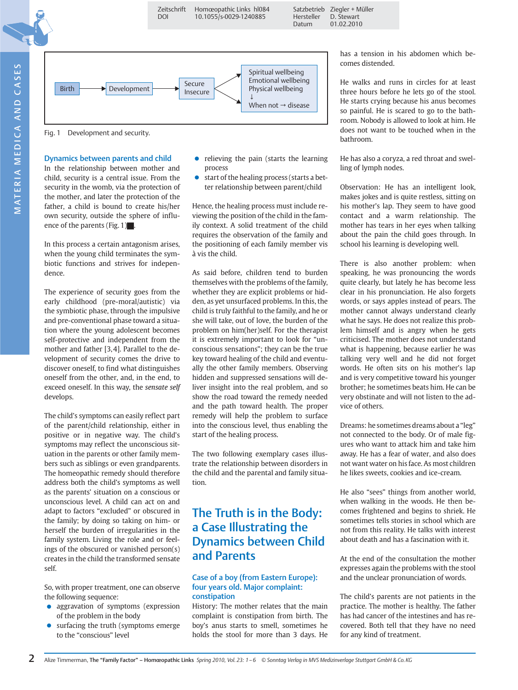





Fig. 1 Development and security.

#### Dynamics between parents and child

In the relationship between mother and child, security is a central issue. From the security in the womb, via the protection of the mother, and later the protection of the father, a child is bound to create his/her own security, outside the sphere of influence of the parents (Fig. 1) $\blacksquare$ .

In this process a certain antagonism arises, when the young child terminates the symbiotic functions and strives for independence.

The experience of security goes from the early childhood (pre-moral/autistic) via the symbiotic phase, through the impulsive and pre-conventional phase toward a situation where the young adolescent becomes self-protective and independent from the mother and father [3, 4]. Parallel to the development of security comes the drive to discover oneself, to find what distinguishes oneself from the other, and, in the end, to exceed oneself. In this way, the sensate self develops.

The child's symptoms can easily reflect part of the parent/child relationship, either in positive or in negative way. The child's symptoms may reflect the unconscious situation in the parents or other family members such as siblings or even grandparents. The homeopathic remedy should therefore address both the child's symptoms as well as the parents' situation on a conscious or unconscious level. A child can act on and adapt to factors "excluded" or obscured in the family; by doing so taking on him- or herself the burden of irregularities in the family system. Living the role and or feelings of the obscured or vanished person(s) creates in the child the transformed sensate self.

So, with proper treatment, one can observe the following sequence:

- aggravation of symptoms (expression of the problem in the body
- $\bullet$  surfacing the truth (symptoms emerge to the "conscious" level
- $\bullet$  relieving the pain (starts the learning process
- $\bullet$  start of the healing process (starts a better relationship between parent/child

Hence, the healing process must include reviewing the position of the child in the family context. A solid treatment of the child requires the observation of the family and the positioning of each family member vis à vis the child.

As said before, children tend to burden themselves with the problems of the family, whether they are explicit problems or hidden, as yet unsurfaced problems. In this, the child is truly faithful to the family, and he or she will take, out of love, the burden of the problem on him(her)self. For the therapist it is extremely important to look for "unconscious sensations"; they can be the true key toward healing of the child and eventually the other family members. Observing hidden and suppressed sensations will deliver insight into the real problem, and so show the road toward the remedy needed and the path toward health. The proper remedy will help the problem to surface into the conscious level, thus enabling the start of the healing process.

The two following exemplary cases illustrate the relationship between disorders in the child and the parental and family situation.

## The Truth is in the Body: a Case Illustrating the Dynamics between Child and Parents

#### Case of a boy (from Eastern Europe): four years old. Major complaint: constipation

History: The mother relates that the main complaint is constipation from birth. The boy's anus starts to smell, sometimes he holds the stool for more than 3 days. He has a tension in his abdomen which becomes distended.

He walks and runs in circles for at least three hours before he lets go of the stool. He starts crying because his anus becomes so painful. He is scared to go to the bathroom. Nobody is allowed to look at him. He does not want to be touched when in the bathroom.

He has also a coryza, a red throat and swelling of lymph nodes.

Observation: He has an intelligent look, makes jokes and is quite restless, sitting on his mother's lap. They seem to have good contact and a warm relationship. The mother has tears in her eyes when talking about the pain the child goes through. In school his learning is developing well.

There is also another problem: when speaking, he was pronouncing the words quite clearly, but lately he has become less clear in his pronunciation. He also forgets words, or says apples instead of pears. The mother cannot always understand clearly what he says. He does not realize this problem himself and is angry when he gets criticised. The mother does not understand what is happening, because earlier he was talking very well and he did not forget words. He often sits on his mother's lap and is very competitive toward his younger brother; he sometimes beats him. He can be very obstinate and will not listen to the advice of others.

Dreams: he sometimes dreams about a "leg" not connected to the body. Or of male figures who want to attack him and take him away. He has a fear of water, and also does not want water on his face. As most children he likes sweets, cookies and ice-cream.

He also "sees" things from another world, when walking in the woods. He then becomes frightened and begins to shriek. He sometimes tells stories in school which are not from this reality. He talks with interest about death and has a fascination with it.

At the end of the consultation the mother expresses again the problems with the stool and the unclear pronunciation of words.

The child's parents are not patients in the practice. The mother is healthy. The father has had cancer of the intestines and has recovered. Both tell that they have no need for any kind of treatment.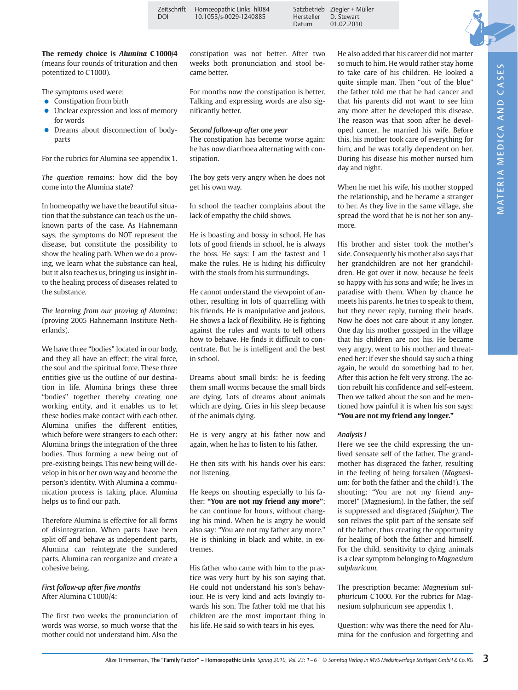Zeitschrift Homœopathic Links hl084 Satzbetrieb Ziegler + Müller 10.1055/s-0029-1240885

Datum 01.02.2010

The remedy choice is Alumina C 1000/4 (means four rounds of trituration and then potentized to C 1000).

The symptoms used were:

- $\bullet$  Constipation from birth
- $\bullet$  Unclear expression and loss of memory for words
- Dreams about disconnection of bodyparts

For the rubrics for Alumina see appendix 1.

The question remains: how did the boy come into the Alumina state?

In homeopathy we have the beautiful situation that the substance can teach us the unknown parts of the case. As Hahnemann says, the symptoms do NOT represent the disease, but constitute the possibility to show the healing path. When we do a proving, we learn what the substance can heal, but it also teaches us, bringing us insight into the healing process of diseases related to the substance.

The learning from our proving of Alumina: (proving 2005 Hahnemann Institute Netherlands).

We have three "bodies" located in our body, and they all have an effect; the vital force, the soul and the spiritual force. These three entities give us the outline of our destination in life. Alumina brings these three "bodies" together thereby creating one working entity, and it enables us to let these bodies make contact with each other. Alumina unifies the different entities, which before were strangers to each other: Alumina brings the integration of the three bodies. Thus forming a new being out of pre-existing beings. This new being will develop in his or her own way and become the person's identity. With Alumina a communication process is taking place. Alumina helps us to find our path.

Therefore Alumina is effective for all forms of disintegration. When parts have been split off and behave as independent parts, Alumina can reintegrate the sundered parts. Alumina can reorganize and create a cohesive being.

#### First follow-up after five months After Alumina C 1000/4:

The first two weeks the pronunciation of words was worse, so much worse that the mother could not understand him. Also the

constipation was not better. After two weeks both pronunciation and stool became better.

For months now the constipation is better. Talking and expressing words are also significantly better.

#### Second follow-up after one year

The constipation has become worse again: he has now diarrhoea alternating with constipation.

The boy gets very angry when he does not get his own way.

In school the teacher complains about the lack of empathy the child shows.

He is boasting and bossy in school. He has lots of good friends in school, he is always the boss. He says: I am the fastest and I make the rules. He is hiding his difficulty with the stools from his surroundings.

He cannot understand the viewpoint of another, resulting in lots of quarrelling with his friends. He is manipulative and jealous. He shows a lack of flexibility. He is fighting against the rules and wants to tell others how to behave. He finds it difficult to concentrate. But he is intelligent and the best in school.

Dreams about small birds: he is feeding them small worms because the small birds are dying. Lots of dreams about animals which are dying. Cries in his sleep because of the animals dying.

He is very angry at his father now and again, when he has to listen to his father.

He then sits with his hands over his ears: not listening.

He keeps on shouting especially to his father: "You are not my friend any more"; he can continue for hours, without changing his mind. When he is angry he would also say: "You are not my father any more." He is thinking in black and white, in extremes.

His father who came with him to the practice was very hurt by his son saying that. He could not understand his son's behaviour. He is very kind and acts lovingly towards his son. The father told me that his children are the most important thing in his life. He said so with tears in his eyes.

He also added that his career did not matter so much to him. He would rather stay home to take care of his children. He looked a quite simple man. Then "out of the blue" the father told me that he had cancer and that his parents did not want to see him any more after he developed this disease. The reason was that soon after he developed cancer, he married his wife. Before this, his mother took care of everything for him, and he was totally dependent on her. During his disease his mother nursed him day and night.

When he met his wife, his mother stopped the relationship, and he became a stranger to her. As they live in the same village, she spread the word that he is not her son anymore.

His brother and sister took the mother's side. Consequently his mother also says that her grandchildren are not her grandchildren. He got over it now, because he feels so happy with his sons and wife; he lives in paradise with them. When by chance he meets his parents, he tries to speak to them, but they never reply, turning their heads. Now he does not care about it any longer. One day his mother gossiped in the village that his children are not his. He became very angry, went to his mother and threatened her: if ever she should say such a thing again, he would do something bad to her. After this action he felt very strong. The action rebuilt his confidence and self-esteem. Then we talked about the son and he mentioned how painful it is when his son says: "You are not my friend any longer."

#### Analysis I

Here we see the child expressing the unlived sensate self of the father. The grandmother has disgraced the father, resulting in the feeling of being forsaken (Magnesium: for both the father and the child!). The shouting: "You are not my friend anymore!" (Magnesium). In the father, the self is suppressed and disgraced (Sulphur). The son relives the split part of the sensate self of the father, thus creating the opportunity for healing of both the father and himself. For the child, sensitivity to dying animals is a clear symptom belonging to Magnesium sulphuricum.

The prescription became: Magnesium sulphuricum C 1000. For the rubrics for Magnesium sulphuricum see appendix 1.

Question: why was there the need for Alumina for the confusion and forgetting and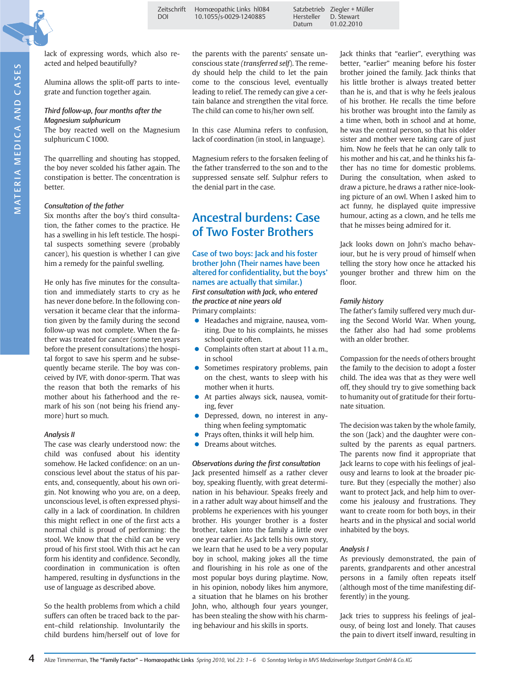Zeitschrift Homœopathic Links hl084 Satzbetrieb Ziegler + Müller  $10.1055/s - 0029 - 1240885$ 

Datum 01.02.2010

lack of expressing words, which also reacted and helped beautifully?

Alumina allows the split-off parts to integrate and function together again.

#### Third follow-up, four months after the Magnesium sulphuricum

The boy reacted well on the Magnesium sulphuricum C 1000.

The quarrelling and shouting has stopped, the boy never scolded his father again. The constipation is better. The concentration is better.

#### Consultation of the father

Six months after the boy's third consultation, the father comes to the practice. He has a swelling in his left testicle. The hospital suspects something severe (probably cancer), his question is whether I can give him a remedy for the painful swelling.

He only has five minutes for the consultation and immediately starts to cry as he has never done before. In the following conversation it became clear that the information given by the family during the second follow-up was not complete. When the father was treated for cancer (some ten years before the present consultations) the hospital forgot to save his sperm and he subsequently became sterile. The boy was conceived by IVF, with donor-sperm. That was the reason that both the remarks of his mother about his fatherhood and the remark of his son (not being his friend anymore) hurt so much.

#### Analysis II

The case was clearly understood now: the child was confused about his identity somehow. He lacked confidence: on an unconscious level about the status of his parents, and, consequently, about his own origin. Not knowing who you are, on a deep, unconscious level, is often expressed physically in a lack of coordination. In children this might reflect in one of the first acts a normal child is proud of performing: the stool. We know that the child can be very proud of his first stool. With this act he can form his identity and confidence. Secondly, coordination in communication is often hampered, resulting in dysfunctions in the use of language as described above.

So the health problems from which a child suffers can often be traced back to the parent–child relationship. Involuntarily the child burdens him/herself out of love for

the parents with the parents' sensate unconscious state (transferred self). The remedy should help the child to let the pain come to the conscious level, eventually leading to relief. The remedy can give a certain balance and strengthen the vital force. The child can come to his/her own self.

In this case Alumina refers to confusion, lack of coordination (in stool, in language).

Magnesium refers to the forsaken feeling of the father transferred to the son and to the suppressed sensate self. Sulphur refers to the denial part in the case.

## Ancestral burdens: Case of Two Foster Brothers

Case of two boys: Jack and his foster brother John (Their names have been altered for confidentiality, but the boys' names are actually that similar.) First consultation with Jack, who entered the practice at nine years old Primary complaints:

- **•** Headaches and migraine, nausea, vomiting. Due to his complaints, he misses school quite often.
- $\bullet$  Complaints often start at about 11 a.m., in school
- $\bullet$  Sometimes respiratory problems, pain on the chest, wants to sleep with his mother when it hurts.
- **•** At parties always sick, nausea, vomiting, fever
- **•** Depressed, down, no interest in anything when feeling symptomatic
- $\bullet$  Prays often, thinks it will help him.
- Dreams about witches.

#### Observations during the first consultation

Jack presented himself as a rather clever boy, speaking fluently, with great determination in his behaviour. Speaks freely and in a rather adult way about himself and the problems he experiences with his younger brother. His younger brother is a foster brother, taken into the family a little over one year earlier. As Jack tells his own story, we learn that he used to be a very popular boy in school, making jokes all the time and flourishing in his role as one of the most popular boys during playtime. Now, in his opinion, nobody likes him anymore, a situation that he blames on his brother John, who, although four years younger, has been stealing the show with his charming behaviour and his skills in sports.

Jack thinks that "earlier", everything was better, "earlier" meaning before his foster brother joined the family. Jack thinks that his little brother is always treated better than he is, and that is why he feels jealous of his brother. He recalls the time before his brother was brought into the family as a time when, both in school and at home, he was the central person, so that his older sister and mother were taking care of just him. Now he feels that he can only talk to his mother and his cat, and he thinks his father has no time for domestic problems. During the consultation, when asked to draw a picture, he draws a rather nice-looking picture of an owl. When I asked him to act funny, he displayed quite impressive humour, acting as a clown, and he tells me that he misses being admired for it.

Jack looks down on John's macho behaviour, but he is very proud of himself when telling the story how once he attacked his younger brother and threw him on the floor.

#### Family history

The father's family suffered very much during the Second World War. When young, the father also had had some problems with an older brother.

Compassion for the needs of others brought the family to the decision to adopt a foster child. The idea was that as they were well off, they should try to give something back to humanity out of gratitude for their fortunate situation.

The decision was taken by the whole family, the son (Jack) and the daughter were consulted by the parents as equal partners. The parents now find it appropriate that Jack learns to cope with his feelings of jealousy and learns to look at the broader picture. But they (especially the mother) also want to protect Jack, and help him to overcome his jealousy and frustrations. They want to create room for both boys, in their hearts and in the physical and social world inhabited by the boys.

#### Analysis I

As previously demonstrated, the pain of parents, grandparents and other ancestral persons in a family often repeats itself (although most of the time manifesting differently) in the young.

Jack tries to suppress his feelings of jealousy, of being lost and lonely. That causes the pain to divert itself inward, resulting in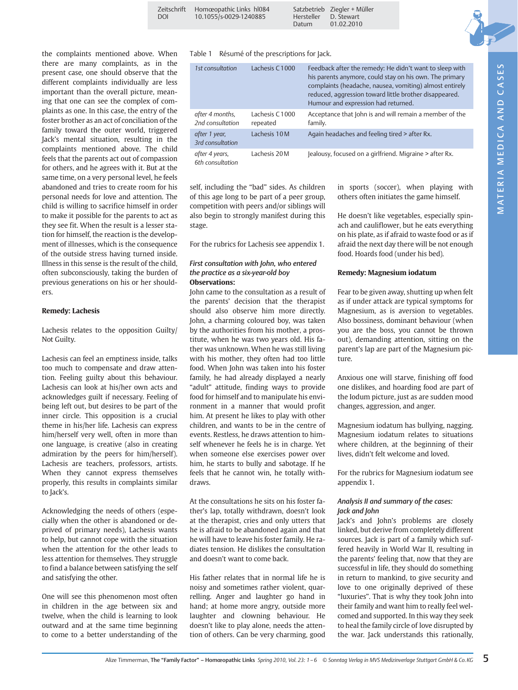

the complaints mentioned above. When there are many complaints, as in the present case, one should observe that the different complaints individually are less important than the overall picture, meaning that one can see the complex of complaints as one. In this case, the entry of the foster brother as an act of conciliation of the family toward the outer world, triggered Jack's mental situation, resulting in the complaints mentioned above. The child feels that the parents act out of compassion for others, and he agrees with it. But at the same time, on a very personal level, he feels abandoned and tries to create room for his personal needs for love and attention. The child is willing to sacrifice himself in order to make it possible for the parents to act as they see fit. When the result is a lesser station for himself, the reaction is the development of illnesses, which is the consequence of the outside stress having turned inside. Illness in this sense is the result of the child, often subconsciously, taking the burden of previous generations on his or her shoulders.

#### Remedy: Lachesis

Lachesis relates to the opposition Guilty/ Not Guilty.

Lachesis can feel an emptiness inside, talks too much to compensate and draw attention. Feeling guilty about this behaviour. Lachesis can look at his/her own acts and acknowledges guilt if necessary. Feeling of being left out, but desires to be part of the inner circle. This opposition is a crucial theme in his/her life. Lachesis can express him/herself very well, often in more than one language, is creative (also in creating admiration by the peers for him/herself). Lachesis are teachers, professors, artists. When they cannot express themselves properly, this results in complaints similar to Jack's.

Acknowledging the needs of others (especially when the other is abandoned or deprived of primary needs), Lachesis wants to help, but cannot cope with the situation when the attention for the other leads to less attention for themselves. They struggle to find a balance between satisfying the self and satisfying the other.

One will see this phenomenon most often in children in the age between six and twelve, when the child is learning to look outward and at the same time beginning to come to a better understanding of the Table 1 Résumé of the prescriptions for Jack.

| 1st consultation                    | Lachesis C1000             | Feedback after the remedy: He didn't want to sleep with<br>his parents anymore, could stay on his own. The primary<br>complaints (headache, nausea, vomiting) almost entirely<br>reduced, aggression toward little brother disappeared.<br>Humour and expression had returned. |
|-------------------------------------|----------------------------|--------------------------------------------------------------------------------------------------------------------------------------------------------------------------------------------------------------------------------------------------------------------------------|
| after 4 months,<br>2nd consultation | Lachesis C1000<br>repeated | Acceptance that John is and will remain a member of the<br>family.                                                                                                                                                                                                             |
| after 1 year,<br>3rd consultation   | Lachesis 10M               | Again headaches and feeling tired > after Rx.                                                                                                                                                                                                                                  |
| after 4 years,<br>6th consultation  | Lachesis 20M               | Jealousy, focused on a girlfriend. Migraine > after Rx.                                                                                                                                                                                                                        |

self, including the "bad" sides. As children of this age long to be part of a peer group, competition with peers and/or siblings will also begin to strongly manifest during this stage.

For the rubrics for Lachesis see appendix 1.

#### First consultation with John, who entered the practice as a six-year-old boy Observations:

John came to the consultation as a result of the parents' decision that the therapist should also observe him more directly. John, a charming coloured boy, was taken by the authorities from his mother, a prostitute, when he was two years old. His father was unknown. When he was still living with his mother, they often had too little food. When John was taken into his foster family, he had already displayed a nearly "adult" attitude, finding ways to provide food for himself and to manipulate his environment in a manner that would profit him. At present he likes to play with other children, and wants to be in the centre of events. Restless, he draws attention to himself whenever he feels he is in charge. Yet when someone else exercises power over him, he starts to bully and sabotage. If he feels that he cannot win, he totally withdraws.

At the consultations he sits on his foster father's lap, totally withdrawn, doesn't look at the therapist, cries and only utters that he is afraid to be abandoned again and that he will have to leave his foster family. He radiates tension. He dislikes the consultation and doesn't want to come back.

His father relates that in normal life he is noisy and sometimes rather violent, quarrelling. Anger and laughter go hand in hand; at home more angry, outside more laughter and clowning behaviour. He doesn't like to play alone, needs the attention of others. Can be very charming, good in sports (soccer), when playing with others often initiates the game himself.

He doesn't like vegetables, especially spinach and cauliflower, but he eats everything on his plate, as if afraid to waste food or as if afraid the next day there will be not enough food. Hoards food (under his bed).

#### Remedy: Magnesium iodatum

Fear to be given away, shutting up when felt as if under attack are typical symptoms for Magnesium, as is aversion to vegetables. Also bossiness, dominant behaviour (when you are the boss, you cannot be thrown out), demanding attention, sitting on the parent's lap are part of the Magnesium picture.

Anxious one will starve, finishing off food one dislikes, and hoarding food are part of the Iodum picture, just as are sudden mood changes, aggression, and anger.

Magnesium iodatum has bullying, nagging. Magnesium iodatum relates to situations where children, at the beginning of their lives, didn't felt welcome and loved.

For the rubrics for Magnesium iodatum see appendix 1.

#### Analysis II and summary of the cases: Jack and John

Jack's and John's problems are closely linked, but derive from completely different sources. Jack is part of a family which suffered heavily in World War II, resulting in the parents' feeling that, now that they are successful in life, they should do something in return to mankind, to give security and love to one originally deprived of these "luxuries". That is why they took John into their family and want him to really feel welcomed and supported. In this way they seek to heal the family circle of love disrupted by the war. Jack understands this rationally,